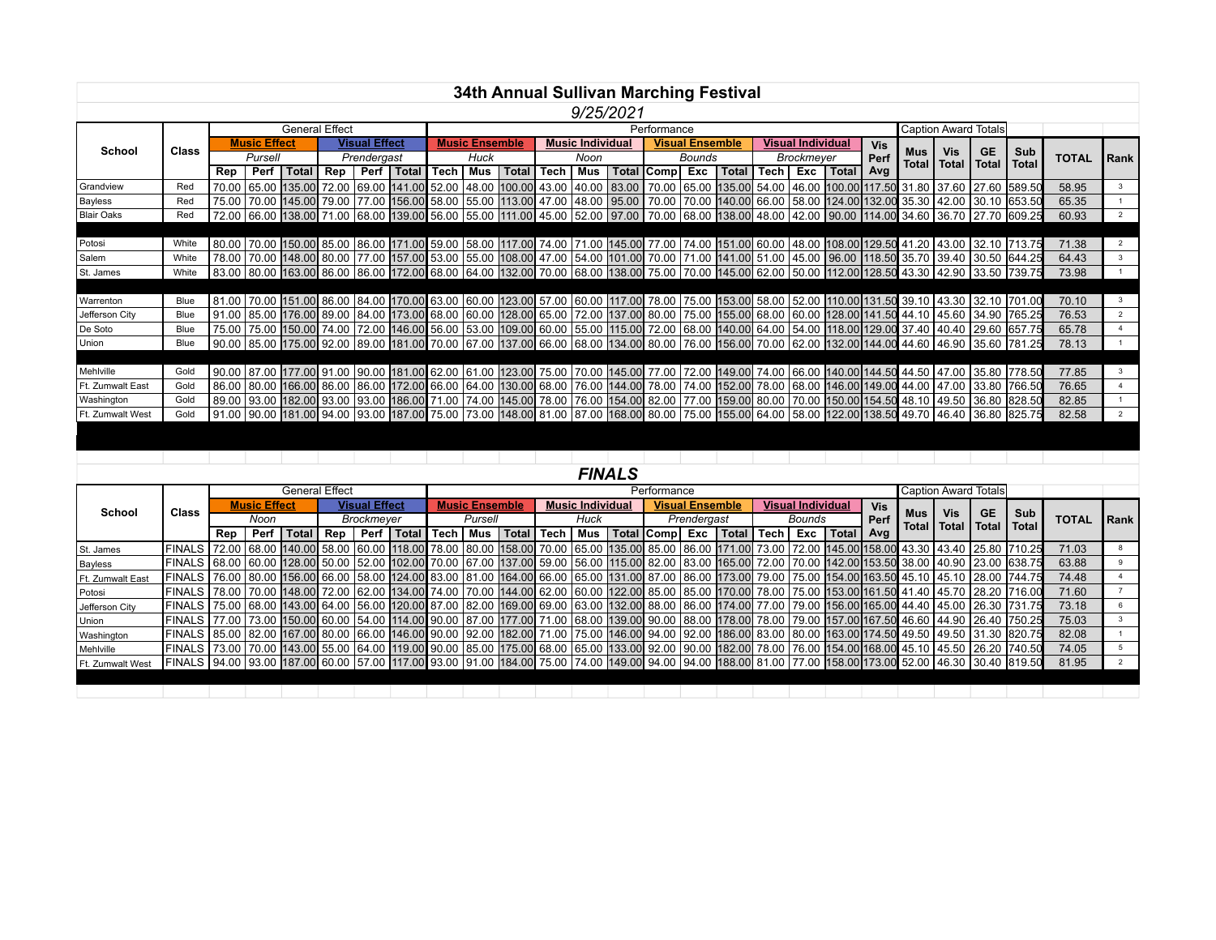|                   |              |                       |                     |  |                    |                      |                                                                                                                                                                                                                                |        |                       |       |      |                         |           |                                |                        | 34th Annual Sullivan Marching Festival |            |                          |             |            |                             |            |                       |                                                                                                                                                                     |              |                |
|-------------------|--------------|-----------------------|---------------------|--|--------------------|----------------------|--------------------------------------------------------------------------------------------------------------------------------------------------------------------------------------------------------------------------------|--------|-----------------------|-------|------|-------------------------|-----------|--------------------------------|------------------------|----------------------------------------|------------|--------------------------|-------------|------------|-----------------------------|------------|-----------------------|---------------------------------------------------------------------------------------------------------------------------------------------------------------------|--------------|----------------|
|                   |              |                       |                     |  |                    |                      |                                                                                                                                                                                                                                |        |                       |       |      |                         | 9/25/2021 |                                |                        |                                        |            |                          |             |            |                             |            |                       |                                                                                                                                                                     |              |                |
|                   |              | <b>General Effect</b> |                     |  |                    |                      |                                                                                                                                                                                                                                |        | Performance           |       |      |                         |           |                                |                        |                                        |            |                          |             |            | <b>Caption Award Totals</b> |            |                       |                                                                                                                                                                     |              |                |
| School            | <b>Class</b> |                       | <b>Music Effect</b> |  |                    | <b>Visual Effect</b> |                                                                                                                                                                                                                                |        | <b>Music Ensemble</b> |       |      | <b>Music Individual</b> |           |                                | <b>Visual Ensemble</b> |                                        |            | <b>Visual Individual</b> |             | <b>Vis</b> | <b>Mus</b>                  | <b>Vis</b> | <b>GE</b>             | Sub                                                                                                                                                                 |              |                |
|                   |              | Pursell               |                     |  | Prendergast        |                      |                                                                                                                                                                                                                                | Huck   |                       |       | Noon |                         |           | Bounds<br>Total Comp Exc Total |                        |                                        | Brockmeyer |                          |             | Perf       | Total                       |            | Total   Total   Total |                                                                                                                                                                     | <b>TOTAL</b> | Rank           |
|                   |              | Rep                   |                     |  | Perf   Total   Rep |                      | Perf   Total                                                                                                                                                                                                                   | Tech l | Mus                   | Total | Tech | Mus                     |           |                                |                        |                                        | Tech I     |                          | Exc   Total | Avg        |                             |            |                       |                                                                                                                                                                     |              |                |
| Grandview         | Red          | 70.00                 |                     |  |                    |                      | 65.00 135.00 72.00  69.00 141.00 52.00  48.00 100.00 43.00  40.00  83.00   70.00  65.00 135.00 54.00  46.00 100.00 117.50 31.80  37.60  27.60 589.50                                                                           |        |                       |       |      |                         |           |                                |                        |                                        |            |                          |             |            |                             |            |                       |                                                                                                                                                                     | 58.95        |                |
| <b>Bayless</b>    | Red          |                       |                     |  |                    |                      | 75.00 124.00 135.30 42.00 179.00 177.00 156.00 58.00 58.00 155.00 113.00 47.00 48.00 95.00 70.00 70.00 140.00 66.00 58.00 58.00 124.00 132.00 35.30 42.00 30.10 653.50                                                         |        |                       |       |      |                         |           |                                |                        |                                        |            |                          |             |            |                             |            |                       |                                                                                                                                                                     | 65.35        |                |
| <b>Blair Oaks</b> | Red          |                       |                     |  |                    |                      | 72.00 6.00 138.00 71.00 68.00 139.00 56.00 56.00 155.00 111.00 45.00 52.00 97.00 70.00 68.00 138.00 48.00 42.00 90.00 114.00 34.60 36.70 27.70 609.25                                                                          |        |                       |       |      |                         |           |                                |                        |                                        |            |                          |             |            |                             |            |                       |                                                                                                                                                                     | 60.93        |                |
|                   |              |                       |                     |  |                    |                      |                                                                                                                                                                                                                                |        |                       |       |      |                         |           |                                |                        |                                        |            |                          |             |            |                             |            |                       |                                                                                                                                                                     |              |                |
| Potosi            | White        |                       |                     |  |                    |                      |                                                                                                                                                                                                                                |        |                       |       |      |                         |           |                                |                        |                                        |            |                          |             |            |                             |            |                       | 80.00 129.50 129.00 150.00 160.00 185.00 169.00 171.00 169.00 171.00 174.00 171.00 145.00 77.00 174.00 151.00 160.00 148.00 108.00 129.50 11.20 14.00 132.10 713.75 | 71.38        |                |
| Salem             | White        |                       |                     |  |                    |                      |                                                                                                                                                                                                                                |        |                       |       |      |                         |           |                                |                        |                                        |            |                          |             |            |                             |            |                       | 780 158.00 148.00 35.70 178.00 177.00 157.00 153.00 155.00 108.00 47.00 54.00 101.00 70.00 71.00 141.00 51.00 45.00 96.00 118.50 35.70 39.40 30.50 3644.25          | 64.43        | 3              |
| St. James         | White        |                       |                     |  |                    |                      |                                                                                                                                                                                                                                |        |                       |       |      |                         |           |                                |                        |                                        |            |                          |             |            |                             |            |                       | 8.00 86.00 86.00 86.00 172.00 88.00 164.00 123.00 70.00 88.00 138.00 75.00 70.00 145.00 82.00 150.00 112.00 128.50 43.30 42.90 33.50 739.75                         | 73.98        |                |
|                   |              |                       |                     |  |                    |                      |                                                                                                                                                                                                                                |        |                       |       |      |                         |           |                                |                        |                                        |            |                          |             |            |                             |            |                       |                                                                                                                                                                     |              |                |
| Warrenton         | <b>Blue</b>  |                       |                     |  |                    |                      |                                                                                                                                                                                                                                |        |                       |       |      |                         |           |                                |                        |                                        |            |                          |             |            |                             |            |                       | 81.00 70.00 151.00 86.00 84.00 170.00 63.00 60.00 123.00 57.00 60.00 117.00 78.00 75.00 153.00 58.00 52.00 110.00 131.50 39.10 43.30 32.10 701.00                   | 70.10        |                |
| Jefferson City    | Blue         |                       |                     |  |                    |                      | 91.00 176.00 176.00 89.00 84.00 173.00 68.00 68.00 128.00 65.00 72.00 137.00 80.00 75.00 155.00 68.00 60.00 128.00 141.50 44.10 45.60 34.90 765.25                                                                             |        |                       |       |      |                         |           |                                |                        |                                        |            |                          |             |            |                             |            |                       |                                                                                                                                                                     | 76.53        | $\overline{2}$ |
| De Soto           | Blue         |                       |                     |  |                    |                      | 75.00 75.00 150.00 74.00 72.00 146.00 56.00 53.00 109.00 60.00 55.00 115.00 72.00 68.00 140.00 64.00 54.00 118.00 129.00 37.40 40.40 29.60 657.75                                                                              |        |                       |       |      |                         |           |                                |                        |                                        |            |                          |             |            |                             |            |                       |                                                                                                                                                                     | 65.78        |                |
| Union             | Blue         |                       |                     |  |                    |                      | 90.00 44.00 44.60 46.90 45.00 55.00 89.00 181.00 70.00 67.00 137.00 66.00 68.00 134.00 80.00 76.00 76.00 156.00 70.00 62.00 132.00 144.00 44.60 46.90 35.60 781.25                                                             |        |                       |       |      |                         |           |                                |                        |                                        |            |                          |             |            |                             |            |                       |                                                                                                                                                                     | 78.13        |                |
|                   |              |                       |                     |  |                    |                      |                                                                                                                                                                                                                                |        |                       |       |      |                         |           |                                |                        |                                        |            |                          |             |            |                             |            |                       |                                                                                                                                                                     |              |                |
| Mehlville         | Gold         |                       |                     |  |                    |                      | 90.00 177.00 91.00 90.00 178.50 178.50 178.50 100 123.00 123.00 175.00 176.00 145.00 77.00 172.00 149.00 74.00 66.00 140.00 144.50 44.50 44.50 170.00 35.80 1778.50                                                            |        |                       |       |      |                         |           |                                |                        |                                        |            |                          |             |            |                             |            |                       |                                                                                                                                                                     | 77.85        |                |
| Ft. Zumwalt East  | Gold         |                       |                     |  |                    |                      | 86.00 86.00 86.00 166.00 166.00 172.00 66.00 164.00 130.00 68.00 176.00 174.00 78.00 174.00 152.00 78.00 165.00 146.00 149.00 44.00 1700 33.80 1766.50                                                                         |        |                       |       |      |                         |           |                                |                        |                                        |            |                          |             |            |                             |            |                       |                                                                                                                                                                     | 76.65        |                |
| Washington        | Gold         |                       |                     |  |                    |                      | 89.50  82.00  93.00  93.00  93.00  93.00  93.00  166.00  71.00  74.00  145.00  78.00  76.00  54.00  82.00  77.00  59.00  80.00  70.00  70.00  154.50  48.10  49.50  36.80  828.50  93.00  56.80  93.00  56.80  93.00  77.00  5 |        |                       |       |      |                         |           |                                |                        |                                        |            |                          |             |            |                             |            |                       |                                                                                                                                                                     | 82.85        |                |
| Ft. Zumwalt West  | Gold         |                       |                     |  |                    |                      | 91.00 94.00 94.00 95.00 175.00 175.00 176.00 181.00 87.00 168.00 80.00 75.00 155.00 64.00 58.00 122.00 138.50 49.70 46.40 36.80 825.75                                                                                         |        |                       |       |      |                         |           |                                |                        |                                        |            |                          |             |            |                             |            |                       |                                                                                                                                                                     | 82.58        |                |

*FINALS*

| <b>TOTAL</b><br><b>Rank</b> |
|-----------------------------|
|                             |
|                             |
|                             |
| 71.03                       |
| 63.88                       |
| 74.48                       |
| 71.60                       |
| 73.18                       |
| 75.03                       |
| 82.08                       |
| 74.05                       |
| 81.95                       |
|                             |
|                             |